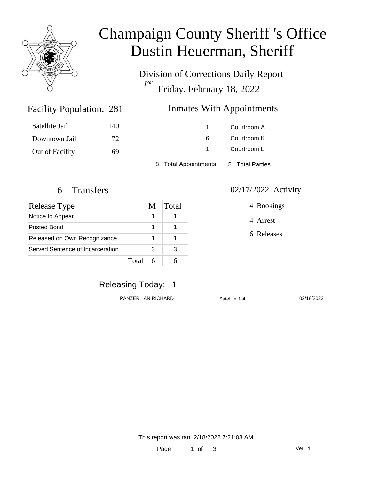

# Champaign County Sheriff 's Office Dustin Heuerman, Sheriff

Division of Corrections Daily Report *for* Friday, February 18, 2022

#### Inmates With Appointments

| Satellite Jail  | 140 |                      | Courtroom A     |  |
|-----------------|-----|----------------------|-----------------|--|
| Downtown Jail   | 72  | 6                    | Courtroom K     |  |
| Out of Facility | 69  |                      | Courtroom L     |  |
|                 |     | 8 Total Appointments | 8 Total Parties |  |

Facility Population: 281

| Release Type                     | M | Total |
|----------------------------------|---|-------|
| Notice to Appear                 |   |       |
| Posted Bond                      | 1 |       |
| Released on Own Recognizance     | 1 |       |
| Served Sentence of Incarceration | З |       |
| Total                            |   |       |

#### 6 Transfers 02/17/2022 Activity

4 Bookings

4 Arrest

6 Releases

### Releasing Today: 1

PANZER, IAN RICHARD Satellite Jail 02/18/2022

This report was ran 2/18/2022 7:21:08 AM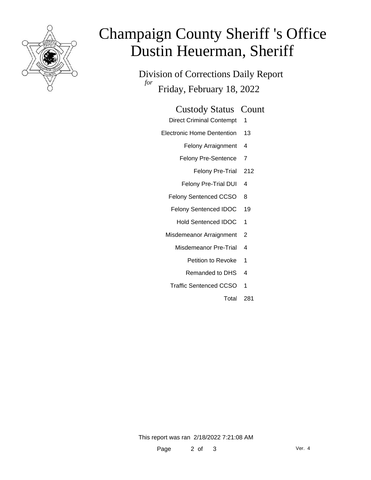

# Champaign County Sheriff 's Office Dustin Heuerman, Sheriff

Division of Corrections Daily Report *for* Friday, February 18, 2022

- Direct Criminal Contempt 1
- Electronic Home Dentention 13
	- Felony Arraignment 4
	- Felony Pre-Sentence 7
		- Felony Pre-Trial 212
	- Felony Pre-Trial DUI 4
	- Felony Sentenced CCSO 8
	- Felony Sentenced IDOC 19
		- Hold Sentenced IDOC 1
	- Misdemeanor Arraignment 2
		- Misdemeanor Pre-Trial 4
			- Petition to Revoke 1
			- Remanded to DHS 4
		- Traffic Sentenced CCSO 1
			- Total 281

This report was ran 2/18/2022 7:21:08 AM